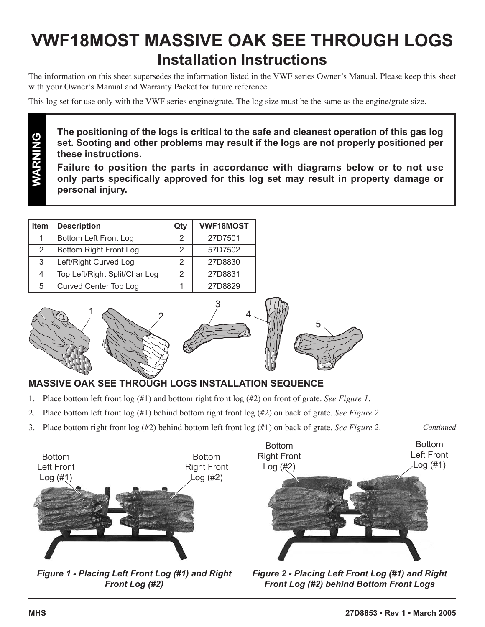## **VWF18MOST MASSIVE OAK SEE THROUGH LOGS Installation Instructions**

The information on this sheet supersedes the information listed in the VWF series Owner's Manual. Please keep this sheet with your Owner's Manual and Warranty Packet for future reference.

This log set for use only with the VWF series engine/grate. The log size must be the same as the engine/grate size.

**The positioning of the logs is critical to the safe and cleanest operation of this gas log set. Sooting and other problems may result if the logs are not properly positioned per these instructions.**

**Failure to position the parts in accordance with diagrams below or to not use only parts specifically approved for this log set may result in property damage or personal injury.** 

4

| <b>Item</b> | <b>Description</b>            | Qty | <b>VWF18MOST</b> |
|-------------|-------------------------------|-----|------------------|
| 1           | Bottom Left Front Log         | 2   | 27D7501          |
| 2           | Bottom Right Front Log        | 2   | 57D7502          |
| 3           | Left/Right Curved Log         | 2   | 27D8830          |
| 4           | Top Left/Right Split/Char Log | 2   | 27D8831          |
| 5           | Curved Center Top Log         |     | 27D8829          |



**WARNING**





## **MASSIVE OAK SEE THROUGH LOGS INSTALLATION SEQUENCE**

- 1. Place bottom left front log (#1) and bottom right front log (#2) on front of grate. *See Figure 1.*
- 2. Place bottom left front log (#1) behind bottom right front log (#2) on back of grate. *See Figure 2.*

3

3. Place bottom right front log (#2) behind bottom left front log (#1) on back of grate. *See Figure 2.*



*Figure 1 - Placing Left Front Log (#1) and Right Front Log (#2)* 

*Figure 2 - Placing Left Front Log (#1) and Right Front Log (#2) behind Bottom Front Logs* 

*Continued*